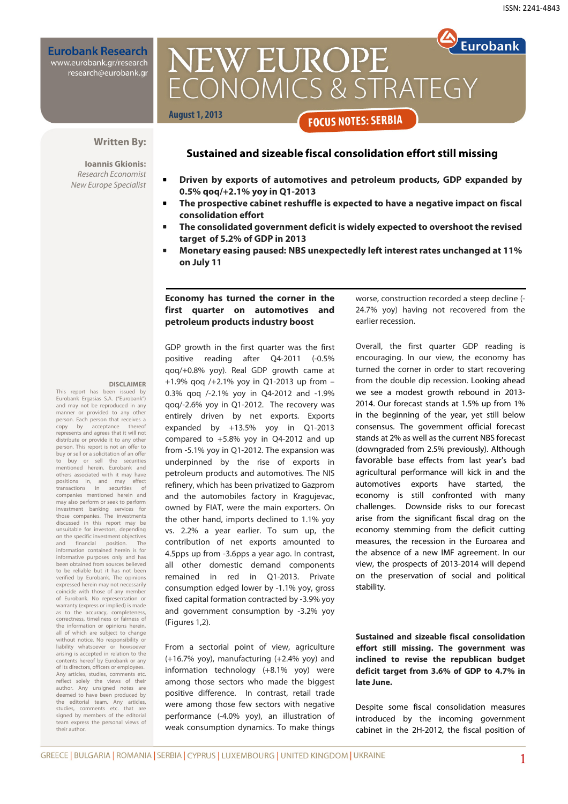**Eurobank Research** www.eurobank.gr/research

research@eurobank.gr

# **Eurobank NEW EUROPE** ECONOMICS & STRATEGY **August 1, 2013 FOCUS NOTES: SERBIA**

# **Sustained and sizeable fiscal consolidation effort still missing**

#### **Written By:**

**Ioannis Gkionis:**  Research Economist New Europe Specialist

- 
- **Driven by exports of automotives and petroleum products, GDP expanded by 0.5% qoq/+2.1% yoy in Q1-2013**
- **The prospective cabinet reshuffle is expected to have a negative impact on fiscal consolidation effort**
- **The consolidated government deficit is widely expected to overshoot the revised target of 5.2% of GDP in 2013**
- **Monetary easing paused: NBS unexpectedly left interest rates unchanged at 11% on July 11**

## **Economy has turned the corner in the first quarter on automotives and petroleum products industry boost**

#### **DISCLAIMER**

This report has been issued by Eurobank Ergasias S.A. ("Eurobank") and may not be reproduced in any manner or provided to any other person. Each person that receives a<br>copy by acceptance thereof acceptance represents and agrees that it will not distribute or provide it to any other person. This report is not an offer to buy or sell or a solicitation of an offer<br>to buy or sell the securities to business mentioned herein. Eurobank and others associated with it may have positions in, and may effect transactions in securities of companies mentioned herein and may also perform or seek to perform investment banking services for those companies. The investments discussed in this report may be unsuitable for investors, depending on the specific investment objectives and financial position. The information contained herein is for informative purposes only and has been obtained from sources believed to be reliable but it has not been verified by Eurobank. The opinions expressed herein may not necessarily coincide with those of any member of Eurobank. No representation or warranty (express or implied) is made as to the accuracy, completeness, correctness, timeliness or fairness of the information or opinions herein, all of which are subject to change without notice. No responsibility or liability whatsoever or howsoever arising is accepted in relation to the contents hereof by Eurobank or any of its directors, officers or employees. Any articles, studies, comments etc. reflect solely the views of their author. Any unsigned notes are deemed to have been produced by the editorial team. Any articles, studies, comments etc. that are staates, comments creating and team express the personal views of their author.

GDP growth in the first quarter was the first positive reading after Q4-2011 (-0.5% qoq/+0.8% yoy). Real GDP growth came at +1.9% qoq /+2.1% yoy in Q1-2013 up from – 0.3% qoq /-2.1% yoy in Q4-2012 and -1.9% qoq/-2.6% yoy in Q1-2012. The recovery was entirely driven by net exports. Exports expanded by +13.5% yoy in Q1-2013 compared to +5.8% yoy in Q4-2012 and up from -5.1% yoy in Q1-2012. The expansion was underpinned by the rise of exports in petroleum products and automotives. The NIS refinery, which has been privatized to Gazprom and the automobiles factory in Kragujevac, owned by FIAT, were the main exporters. On the other hand, imports declined to 1.1% yoy vs. 2.2% a year earlier. To sum up, the contribution of net exports amounted to 4.5pps up from -3.6pps a year ago. In contrast, all other domestic demand components remained in red in Q1-2013. Private consumption edged lower by -1.1% yoy, gross fixed capital formation contracted by -3.9% yoy and government consumption by -3.2% yoy (Figures 1,2).

From a sectorial point of view, agriculture (+16.7% yoy), manufacturing (+2.4% yoy) and information technology (+8.1% yoy) were among those sectors who made the biggest positive difference. In contrast, retail trade were among those few sectors with negative performance (-4.0% yoy), an illustration of weak consumption dynamics. To make things worse, construction recorded a steep decline (- 24.7% yoy) having not recovered from the earlier recession.

Overall, the first quarter GDP reading is encouraging. In our view, the economy has turned the corner in order to start recovering from the double dip recession. Looking ahead we see a modest growth rebound in 2013- 2014. Our forecast stands at 1.5% up from 1% in the beginning of the year, yet still below consensus. The government official forecast stands at 2% as well as the current NBS forecast (downgraded from 2.5% previously). Although favorable base effects from last year's bad agricultural performance will kick in and the automotives exports have started, the economy is still confronted with many challenges. Downside risks to our forecast arise from the significant fiscal drag on the economy stemming from the deficit cutting measures, the recession in the Euroarea and the absence of a new IMF agreement. In our view, the prospects of 2013-2014 will depend on the preservation of social and political stability.

**Sustained and sizeable fiscal consolidation effort still missing. The government was inclined to revise the republican budget deficit target from 3.6% of GDP to 4.7% in late June.**

Despite some fiscal consolidation measures introduced by the incoming government cabinet in the 2H-2012, the fiscal position of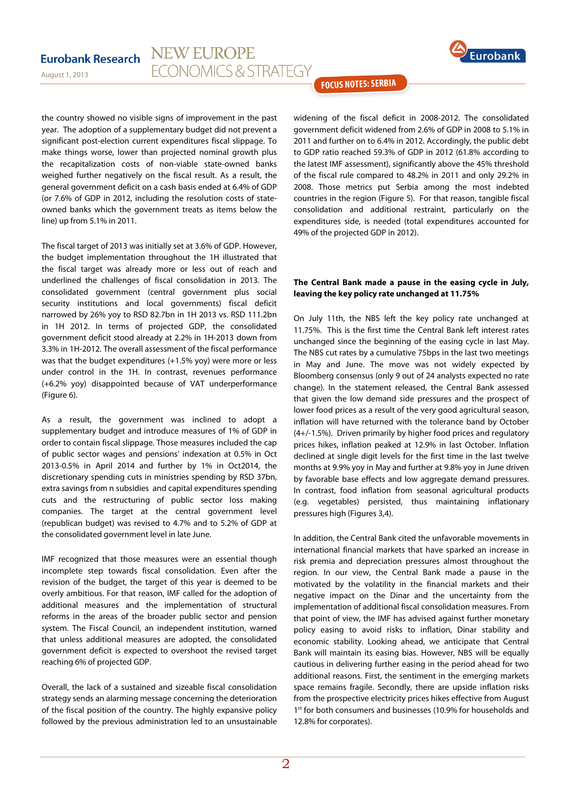#### **NEW EUROPE Eurobank Research ECONOMICS & STRATEGY**

August 1, 2013



**FOCUS NOTES: SERBIA** 

the country showed no visible signs of improvement in the past year. The adoption of a supplementary budget did not prevent a significant post-election current expenditures fiscal slippage. To make things worse, lower than projected nominal growth plus the recapitalization costs of non-viable state-owned banks weighed further negatively on the fiscal result. As a result, the general government deficit on a cash basis ended at 6.4% of GDP (or 7.6% of GDP in 2012, including the resolution costs of stateowned banks which the government treats as items below the line) up from 5.1% in 2011.

The fiscal target of 2013 was initially set at 3.6% of GDP. However, the budget implementation throughout the 1H illustrated that the fiscal target was already more or less out of reach and underlined the challenges of fiscal consolidation in 2013. The consolidated government (central government plus social security institutions and local governments) fiscal deficit narrowed by 26% yoy to RSD 82.7bn in 1H 2013 vs. RSD 111.2bn in 1H 2012. In terms of projected GDP, the consolidated government deficit stood already at 2.2% in 1H-2013 down from 3.3% in 1H-2012. The overall assessment of the fiscal performance was that the budget expenditures (+1.5% yoy) were more or less under control in the 1H. In contrast, revenues performance (+6.2% yoy) disappointed because of VAT underperformance (Figure 6).

As a result, the government was inclined to adopt a supplementary budget and introduce measures of 1% of GDP in order to contain fiscal slippage. Those measures included the cap of public sector wages and pensions' indexation at 0.5% in Oct 2013-0.5% in April 2014 and further by 1% in Oct2014, the discretionary spending cuts in ministries spending by RSD 37bn, extra savings from n subsidies and capital expenditures spending cuts and the restructuring of public sector loss making companies. The target at the central government level (republican budget) was revised to 4.7% and to 5.2% of GDP at the consolidated government level in late June.

IMF recognized that those measures were an essential though incomplete step towards fiscal consolidation. Even after the revision of the budget, the target of this year is deemed to be overly ambitious. For that reason, IMF called for the adoption of additional measures and the implementation of structural reforms in the areas of the broader public sector and pension system. The Fiscal Council, an independent institution, warned that unless additional measures are adopted, the consolidated government deficit is expected to overshoot the revised target reaching 6% of projected GDP.

Overall, the lack of a sustained and sizeable fiscal consolidation strategy sends an alarming message concerning the deterioration of the fiscal position of the country. The highly expansive policy followed by the previous administration led to an unsustainable widening of the fiscal deficit in 2008-2012. The consolidated government deficit widened from 2.6% of GDP in 2008 to 5.1% in 2011 and further on to 6.4% in 2012. Accordingly, the public debt to GDP ratio reached 59.3% of GDP in 2012 (61.8% according to the latest IMF assessment), significantly above the 45% threshold of the fiscal rule compared to 48.2% in 2011 and only 29.2% in 2008. Those metrics put Serbia among the most indebted countries in the region (Figure 5). For that reason, tangible fiscal consolidation and additional restraint, particularly on the expenditures side, is needed (total expenditures accounted for 49% of the projected GDP in 2012).

#### **The Central Bank made a pause in the easing cycle in July, leaving the key policy rate unchanged at 11.75%**

On July 11th, the NBS left the key policy rate unchanged at 11.75%. This is the first time the Central Bank left interest rates unchanged since the beginning of the easing cycle in last May. The NBS cut rates by a cumulative 75bps in the last two meetings in May and June. The move was not widely expected by Bloomberg consensus (only 9 out of 24 analysts expected no rate change). In the statement released, the Central Bank assessed that given the low demand side pressures and the prospect of lower food prices as a result of the very good agricultural season, inflation will have returned with the tolerance band by October (4+/-1.5%). Driven primarily by higher food prices and regulatory prices hikes, inflation peaked at 12.9% in last October. Inflation declined at single digit levels for the first time in the last twelve months at 9.9% yoy in May and further at 9.8% yoy in June driven by favorable base effects and low aggregate demand pressures. In contrast, food inflation from seasonal agricultural products (e.g. vegetables) persisted, thus maintaining inflationary pressures high (Figures 3,4).

In addition, the Central Bank cited the unfavorable movements in international financial markets that have sparked an increase in risk premia and depreciation pressures almost throughout the region. In our view, the Central Bank made a pause in the motivated by the volatility in the financial markets and their negative impact on the Dinar and the uncertainty from the implementation of additional fiscal consolidation measures. From that point of view, the IMF has advised against further monetary policy easing to avoid risks to inflation, Dinar stability and economic stability. Looking ahead, we anticipate that Central Bank will maintain its easing bias. However, NBS will be equally cautious in delivering further easing in the period ahead for two additional reasons. First, the sentiment in the emerging markets space remains fragile. Secondly, there are upside inflation risks from the prospective electricity prices hikes effective from August 1<sup>st</sup> for both consumers and businesses (10.9% for households and 12.8% for corporates).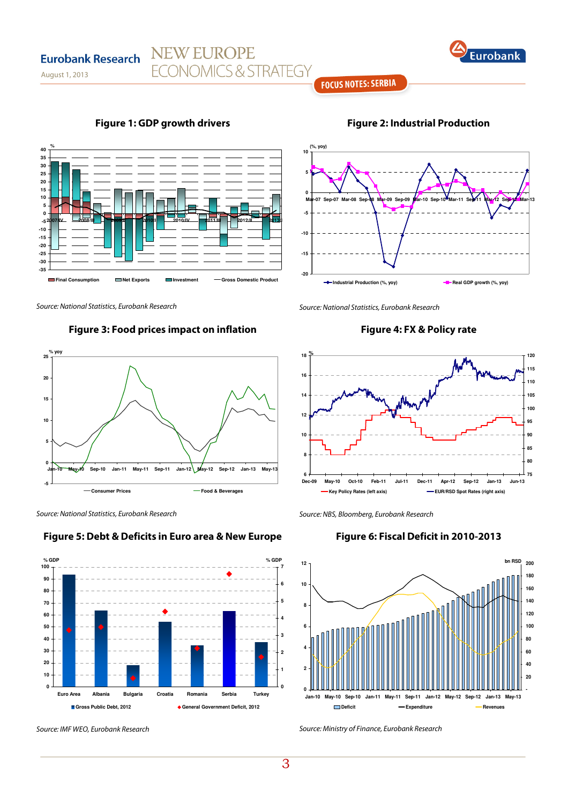

## **FOCUS NOTES: SERBIA**

**Figure 1: GDP growth drivers**

**NEW EUROPE** 

**ECONOMICS & STRATEGY** 



**Figure 2: Industrial Production** 

Source: National Statistics, Eurobank Research

August 1, 2013

**Eurobank Research** 

**%**

**-35 -30 -25 -20 -15 -10 -5 0 5 10 15 20 25 30 35 40**

#### **Figure 3: Food prices impact on inflation**

**Final Consumption Investment Gross Domestic Product** 

**2007/IV 2008/III 2009/II 2010/I 2010/IV 2011/III 2012/II 2013/I** 



Source: National Statistics, Eurobank Research





Source: IMF WEO, Eurobank Research

Source: National Statistics, Eurobank Research

## **Figure 4: FX & Policy rate**



Source: NBS, Bloomberg, Eurobank Research

## **Figure 6: Fiscal Deficit in 2010-2013**



Source: Ministry of Finance, Eurobank Research